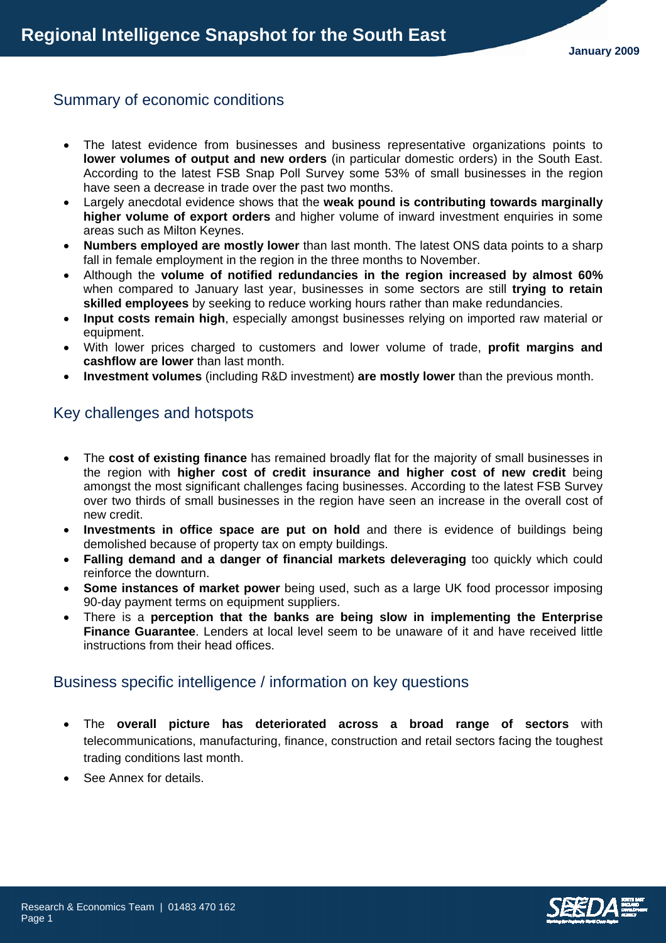# Summary of economic conditions

- The latest evidence from businesses and business representative organizations points to **lower volumes of output and new orders** (in particular domestic orders) in the South East. According to the latest FSB Snap Poll Survey some 53% of small businesses in the region have seen a decrease in trade over the past two months.
- Largely anecdotal evidence shows that the **weak pound is contributing towards marginally higher volume of export orders** and higher volume of inward investment enquiries in some areas such as Milton Keynes.
- **Numbers employed are mostly lower** than last month. The latest ONS data points to a sharp fall in female employment in the region in the three months to November.
- Although the **volume of notified redundancies in the region increased by almost 60%** when compared to January last year, businesses in some sectors are still **trying to retain skilled employees** by seeking to reduce working hours rather than make redundancies.
- **Input costs remain high**, especially amongst businesses relying on imported raw material or equipment.
- With lower prices charged to customers and lower volume of trade, **profit margins and cashflow are lower** than last month.
- **Investment volumes** (including R&D investment) **are mostly lower** than the previous month.

# Key challenges and hotspots

- The **cost of existing finance** has remained broadly flat for the majority of small businesses in the region with **higher cost of credit insurance and higher cost of new credit** being amongst the most significant challenges facing businesses. According to the latest FSB Survey over two thirds of small businesses in the region have seen an increase in the overall cost of new credit.
- **Investments in office space are put on hold** and there is evidence of buildings being demolished because of property tax on empty buildings.
- **Falling demand and a danger of financial markets deleveraging** too quickly which could reinforce the downturn.
- **Some instances of market power** being used, such as a large UK food processor imposing 90-day payment terms on equipment suppliers.
- There is a **perception that the banks are being slow in implementing the Enterprise Finance Guarantee**. Lenders at local level seem to be unaware of it and have received little instructions from their head offices.

### Business specific intelligence / information on key questions

- The **overall picture has deteriorated across a broad range of sectors** with telecommunications, manufacturing, finance, construction and retail sectors facing the toughest trading conditions last month.
- See Annex for details.

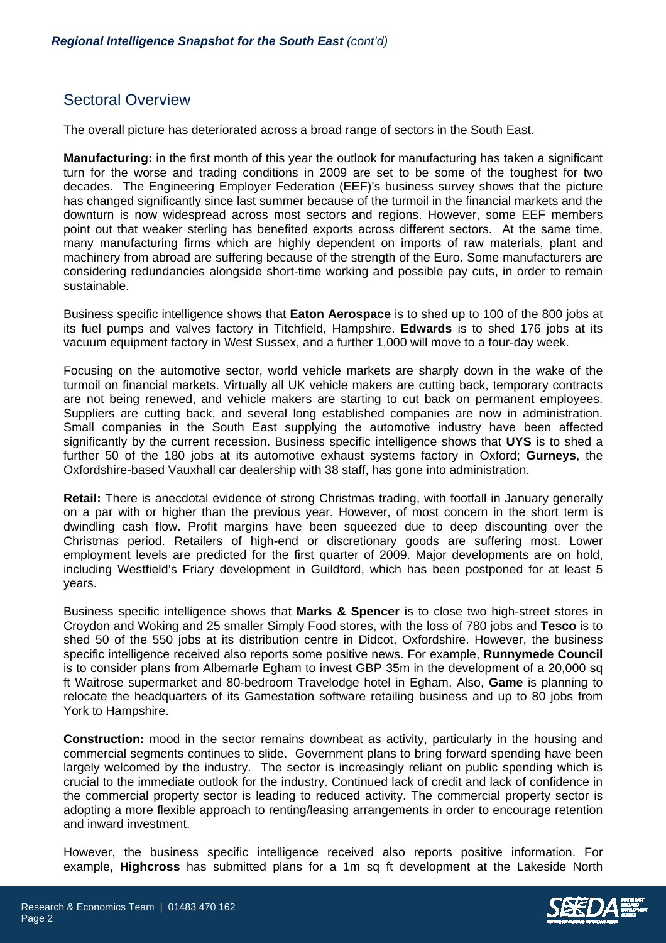# Sectoral Overview

The overall picture has deteriorated across a broad range of sectors in the South East.

**Manufacturing:** in the first month of this year the outlook for manufacturing has taken a significant turn for the worse and trading conditions in 2009 are set to be some of the toughest for two decades. The Engineering Employer Federation (EEF)'s business survey shows that the picture has changed significantly since last summer because of the turmoil in the financial markets and the downturn is now widespread across most sectors and regions. However, some EEF members point out that weaker sterling has benefited exports across different sectors. At the same time, many manufacturing firms which are highly dependent on imports of raw materials, plant and machinery from abroad are suffering because of the strength of the Euro. Some manufacturers are considering redundancies alongside short-time working and possible pay cuts, in order to remain sustainable.

Business specific intelligence shows that **Eaton Aerospace** is to shed up to 100 of the 800 jobs at its fuel pumps and valves factory in Titchfield, Hampshire. **Edwards** is to shed 176 jobs at its vacuum equipment factory in West Sussex, and a further 1,000 will move to a four-day week.

Focusing on the automotive sector, world vehicle markets are sharply down in the wake of the turmoil on financial markets. Virtually all UK vehicle makers are cutting back, temporary contracts are not being renewed, and vehicle makers are starting to cut back on permanent employees. Suppliers are cutting back, and several long established companies are now in administration. Small companies in the South East supplying the automotive industry have been affected significantly by the current recession. Business specific intelligence shows that **UYS** is to shed a further 50 of the 180 jobs at its automotive exhaust systems factory in Oxford; **Gurneys**, the Oxfordshire-based Vauxhall car dealership with 38 staff, has gone into administration.

**Retail:** There is anecdotal evidence of strong Christmas trading, with footfall in January generally on a par with or higher than the previous year. However, of most concern in the short term is dwindling cash flow. Profit margins have been squeezed due to deep discounting over the Christmas period. Retailers of high-end or discretionary goods are suffering most. Lower employment levels are predicted for the first quarter of 2009. Major developments are on hold, including Westfield's Friary development in Guildford, which has been postponed for at least 5 years.

Business specific intelligence shows that **Marks & Spencer** is to close two high-street stores in Croydon and Woking and 25 smaller Simply Food stores, with the loss of 780 jobs and **Tesco** is to shed 50 of the 550 jobs at its distribution centre in Didcot, Oxfordshire. However, the business specific intelligence received also reports some positive news. For example, **Runnymede Council** is to consider plans from Albemarle Egham to invest GBP 35m in the development of a 20,000 sq ft Waitrose supermarket and 80-bedroom Travelodge hotel in Egham. Also, **Game** is planning to relocate the headquarters of its Gamestation software retailing business and up to 80 jobs from York to Hampshire.

**Construction:** mood in the sector remains downbeat as activity, particularly in the housing and commercial segments continues to slide. Government plans to bring forward spending have been largely welcomed by the industry. The sector is increasingly reliant on public spending which is crucial to the immediate outlook for the industry. Continued lack of credit and lack of confidence in the commercial property sector is leading to reduced activity. The commercial property sector is adopting a more flexible approach to renting/leasing arrangements in order to encourage retention and inward investment.

However, the business specific intelligence received also reports positive information. For example, **Highcross** has submitted plans for a 1m sq ft development at the Lakeside North



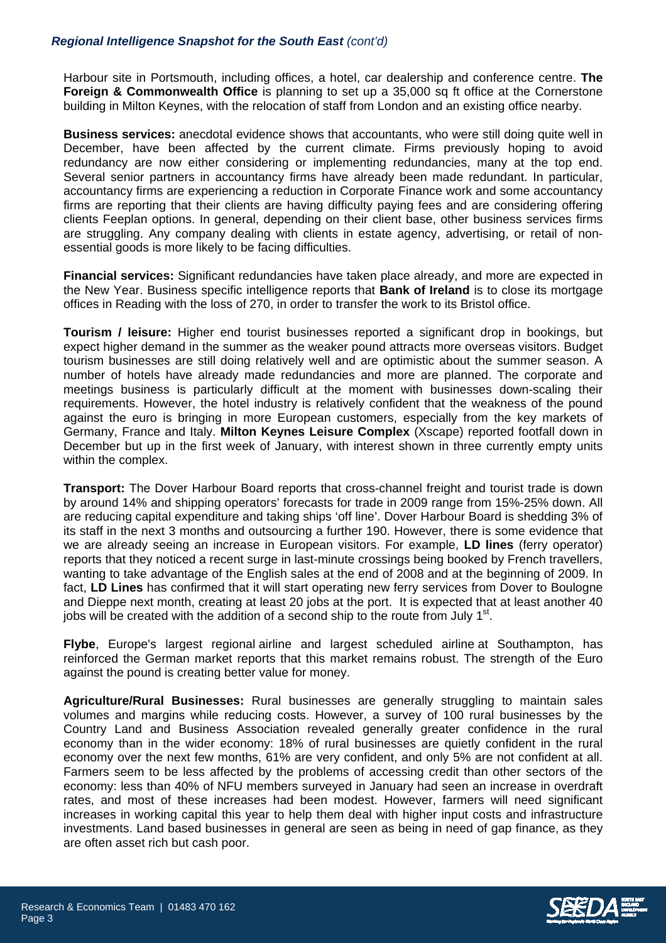### *Regional Intelligence Snapshot for the South East (cont'd)*

Harbour site in Portsmouth, including offices, a hotel, car dealership and conference centre. **The Foreign & Commonwealth Office** is planning to set up a 35,000 sq ft office at the Cornerstone building in Milton Keynes, with the relocation of staff from London and an existing office nearby.

**Business services:** anecdotal evidence shows that accountants, who were still doing quite well in December, have been affected by the current climate. Firms previously hoping to avoid redundancy are now either considering or implementing redundancies, many at the top end. Several senior partners in accountancy firms have already been made redundant. In particular, accountancy firms are experiencing a reduction in Corporate Finance work and some accountancy firms are reporting that their clients are having difficulty paying fees and are considering offering clients Feeplan options. In general, depending on their client base, other business services firms are struggling. Any company dealing with clients in estate agency, advertising, or retail of nonessential goods is more likely to be facing difficulties.

**Financial services:** Significant redundancies have taken place already, and more are expected in the New Year. Business specific intelligence reports that **Bank of Ireland** is to close its mortgage offices in Reading with the loss of 270, in order to transfer the work to its Bristol office.

**Tourism / leisure:** Higher end tourist businesses reported a significant drop in bookings, but expect higher demand in the summer as the weaker pound attracts more overseas visitors. Budget tourism businesses are still doing relatively well and are optimistic about the summer season. A number of hotels have already made redundancies and more are planned. The corporate and meetings business is particularly difficult at the moment with businesses down-scaling their requirements. However, the hotel industry is relatively confident that the weakness of the pound against the euro is bringing in more European customers, especially from the key markets of Germany, France and Italy. **Milton Keynes Leisure Complex** (Xscape) reported footfall down in December but up in the first week of January, with interest shown in three currently empty units within the complex.

**Transport:** The Dover Harbour Board reports that cross-channel freight and tourist trade is down by around 14% and shipping operators' forecasts for trade in 2009 range from 15%-25% down. All are reducing capital expenditure and taking ships 'off line'. Dover Harbour Board is shedding 3% of its staff in the next 3 months and outsourcing a further 190. However, there is some evidence that we are already seeing an increase in European visitors. For example, **LD lines** (ferry operator) reports that they noticed a recent surge in last-minute crossings being booked by French travellers, wanting to take advantage of the English sales at the end of 2008 and at the beginning of 2009. In fact, **LD Lines** has confirmed that it will start operating new ferry services from Dover to Boulogne and Dieppe next month, creating at least 20 jobs at the port. It is expected that at least another 40 jobs will be created with the addition of a second ship to the route from July  $1<sup>st</sup>$ .

**Flybe**, Europe's largest regional airline and largest scheduled airline at Southampton, has reinforced the German market reports that this market remains robust. The strength of the Euro against the pound is creating better value for money.

**Agriculture/Rural Businesses:** Rural businesses are generally struggling to maintain sales volumes and margins while reducing costs. However, a survey of 100 rural businesses by the Country Land and Business Association revealed generally greater confidence in the rural economy than in the wider economy: 18% of rural businesses are quietly confident in the rural economy over the next few months, 61% are very confident, and only 5% are not confident at all. Farmers seem to be less affected by the problems of accessing credit than other sectors of the economy: less than 40% of NFU members surveyed in January had seen an increase in overdraft rates, and most of these increases had been modest. However, farmers will need significant increases in working capital this year to help them deal with higher input costs and infrastructure investments. Land based businesses in general are seen as being in need of gap finance, as they are often asset rich but cash poor.

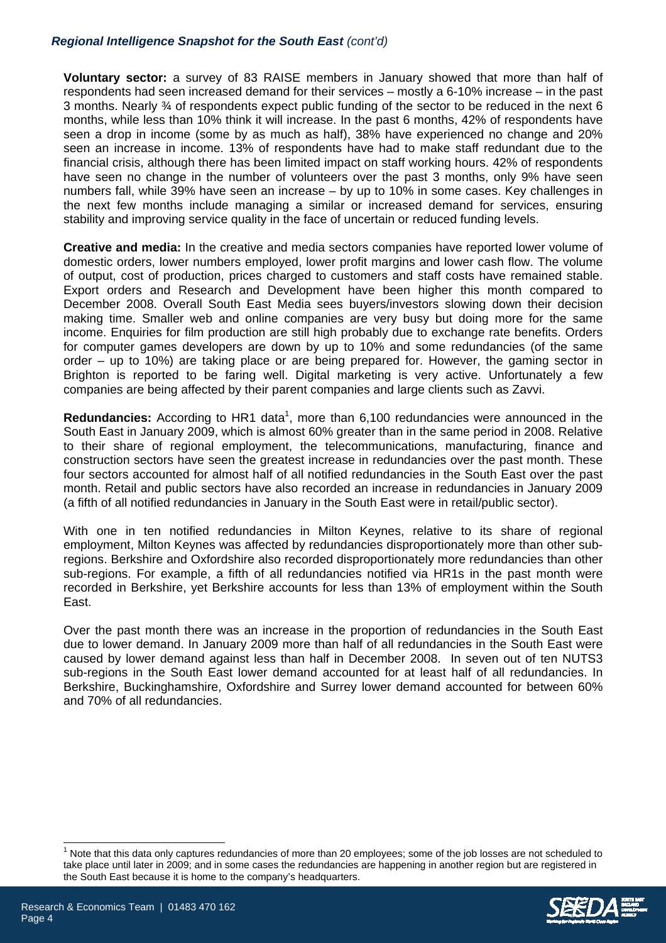### *Regional Intelligence Snapshot for the South East (cont'd)*

**Voluntary sector:** a survey of 83 RAISE members in January showed that more than half of respondents had seen increased demand for their services – mostly a 6-10% increase – in the past 3 months. Nearly ¾ of respondents expect public funding of the sector to be reduced in the next 6 months, while less than 10% think it will increase. In the past 6 months, 42% of respondents have seen a drop in income (some by as much as half), 38% have experienced no change and 20% seen an increase in income. 13% of respondents have had to make staff redundant due to the financial crisis, although there has been limited impact on staff working hours. 42% of respondents have seen no change in the number of volunteers over the past 3 months, only 9% have seen numbers fall, while 39% have seen an increase – by up to 10% in some cases. Key challenges in the next few months include managing a similar or increased demand for services, ensuring stability and improving service quality in the face of uncertain or reduced funding levels.

**Creative and media:** In the creative and media sectors companies have reported lower volume of domestic orders, lower numbers employed, lower profit margins and lower cash flow. The volume of output, cost of production, prices charged to customers and staff costs have remained stable. Export orders and Research and Development have been higher this month compared to December 2008. Overall South East Media sees buyers/investors slowing down their decision making time. Smaller web and online companies are very busy but doing more for the same income. Enquiries for film production are still high probably due to exchange rate benefits. Orders for computer games developers are down by up to 10% and some redundancies (of the same order – up to 10%) are taking place or are being prepared for. However, the gaming sector in Brighton is reported to be faring well. Digital marketing is very active. Unfortunately a few companies are being affected by their parent companies and large clients such as Zavvi.

Redundancies: According to HR1 data<sup>1</sup>[,](#page-3-0) more than 6,100 redundancies were announced in the South East in January 2009, which is almost 60% greater than in the same period in 2008. Relative to their share of regional employment, the telecommunications, manufacturing, finance and construction sectors have seen the greatest increase in redundancies over the past month. These four sectors accounted for almost half of all notified redundancies in the South East over the past month. Retail and public sectors have also recorded an increase in redundancies in January 2009 (a fifth of all notified redundancies in January in the South East were in retail/public sector).

With one in ten notified redundancies in Milton Keynes, relative to its share of regional employment, Milton Keynes was affected by redundancies disproportionately more than other subregions. Berkshire and Oxfordshire also recorded disproportionately more redundancies than other sub-regions. For example, a fifth of all redundancies notified via HR1s in the past month were recorded in Berkshire, yet Berkshire accounts for less than 13% of employment within the South East.

Over the past month there was an increase in the proportion of redundancies in the South East due to lower demand. In January 2009 more than half of all redundancies in the South East were caused by lower demand against less than half in December 2008. In seven out of ten NUTS3 sub-regions in the South East lower demand accounted for at least half of all redundancies. In Berkshire, Buckinghamshire, Oxfordshire and Surrey lower demand accounted for between 60% and 70% of all redundancies.

<span id="page-3-0"></span> $\frac{1}{1}$  Note that this data only captures redundancies of more than 20 employees; some of the job losses are not scheduled to take place until later in 2009; and in some cases the redundancies are happening in another region but are registered in the South East because it is home to the company's headquarters.